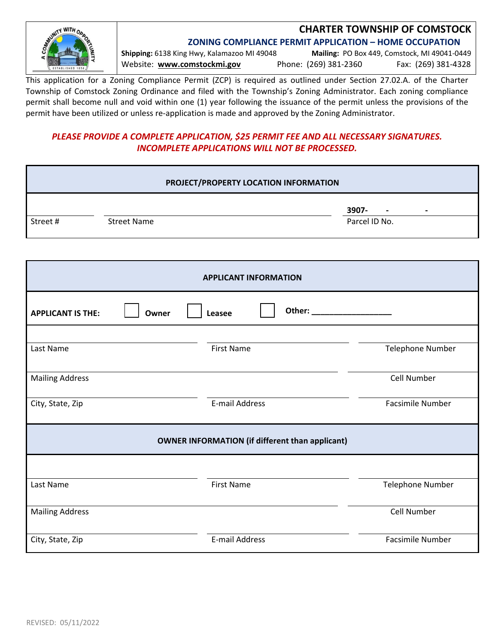

# **CHARTER TOWNSHIP OF COMSTOCK**

**ZONING COMPLIANCE PERMIT APPLICATION – HOME OCCUPATION**

**Shipping:** 6138 King Hwy, Kalamazoo MI 49048 **Mailing:** PO Box 449, Comstock, MI 49041‐0449 Website: **www.comstockmi.gov** Phone: (269) 381‐2360 Fax: (269) 381‐4328

This application for a Zoning Compliance Permit (ZCP) is required as outlined under Section 27.02.A. of the Charter Township of Comstock Zoning Ordinance and filed with the Township's Zoning Administrator. Each zoning compliance permit shall become null and void within one (1) year following the issuance of the permit unless the provisions of the permit have been utilized or unless re-application is made and approved by the Zoning Administrator.

## *PLEASE PROVIDE A COMPLETE APPLICATION, \$25 PERMIT FEE AND ALL NECESSARY SIGNATURES. INCOMPLETE APPLICATIONS WILL NOT BE PROCESSED.*

| PROJECT/PROPERTY LOCATION INFORMATION |                    |                   |                                                    |  |  |
|---------------------------------------|--------------------|-------------------|----------------------------------------------------|--|--|
| Street#                               | <b>Street Name</b> |                   | 3907-<br>$\overline{\phantom{a}}$<br>Parcel ID No. |  |  |
| <b>APPLICANT INFORMATION</b>          |                    |                   |                                                    |  |  |
| <b>APPLICANT IS THE:</b>              | Owner<br>Leasee    | Other:            |                                                    |  |  |
| Last Name                             |                    | <b>First Name</b> | <b>Telephone Number</b>                            |  |  |
| Mailing Address                       |                    |                   | Call Number                                        |  |  |

| <b>Mailing Address</b> |                                                        | Cell Number             |
|------------------------|--------------------------------------------------------|-------------------------|
| City, State, Zip       | E-mail Address                                         | <b>Facsimile Number</b> |
|                        | <b>OWNER INFORMATION (if different than applicant)</b> |                         |
| Last Name              | <b>First Name</b>                                      | Telephone Number        |
| <b>Mailing Address</b> |                                                        | Cell Number             |
| City, State, Zip       | E-mail Address                                         | <b>Facsimile Number</b> |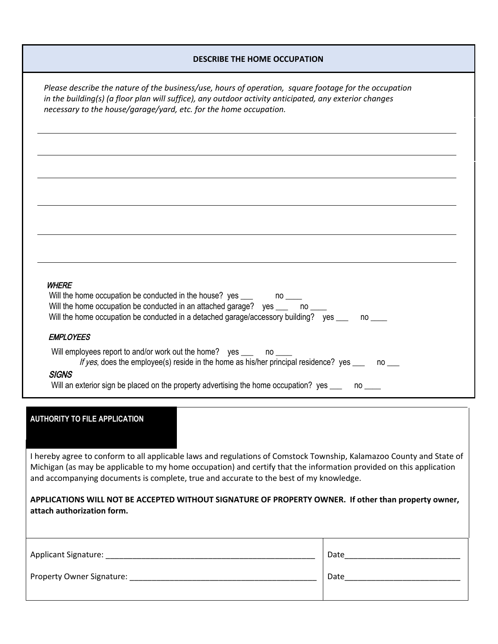## **DESCRIBE THE HOME OCCUPATION**

*Please describe the nature of the business/use, hours of operation, square footage for the occupation in the building(s) (a floor plan will suffice), any outdoor activity anticipated, any exterior changes necessary to the house/garage/yard, etc. for the home occupation.*

## **WHERE**

| WNCKC                                                                                                                                                                                                                                                                                                   |  |
|---------------------------------------------------------------------------------------------------------------------------------------------------------------------------------------------------------------------------------------------------------------------------------------------------------|--|
| Will the home occupation be conducted in the house? yes ____<br>no and a series of the series of the series of the series of the series of the series of the series of the series of the series of the series of the series of the series of the series of the series of the series of the ser          |  |
| Will the home occupation be conducted in an attached garage?<br>ves<br>no dia masa di kacamatan ing kacamatan ing kacamatan ing kacamatan ing kacamatan ing kacamatan ing kacamatan d<br>Sebagai pada kacamatan ing kacamatan ing kacamatan ing kacamatan ing kacamatan ing kacamatan di anggo kacamata |  |
| Will the home occupation be conducted in a detached garage/accessory building?<br>ves<br>$\mathsf{no} \_\_$                                                                                                                                                                                             |  |
| <b>EMPLOYEES</b>                                                                                                                                                                                                                                                                                        |  |
| Will employees report to and/or work out the home? yes ____<br>$\overline{\mathsf{no}}_{\phantom{0}\underline{\qquad}}$                                                                                                                                                                                 |  |
| If yes, does the employee(s) reside in the home as his/her principal residence? yes<br>no l                                                                                                                                                                                                             |  |
| 7.7.17                                                                                                                                                                                                                                                                                                  |  |

### SIGNS

Will an exterior sign be placed on the property advertising the home occupation? yes \_\_\_ no \_\_\_

### **AUTHORITY TO FILE APPLICATION**

I hereby agree to conform to all applicable laws and regulations of Comstock Township, Kalamazoo County and State of Michigan (as may be applicable to my home occupation) and certify that the information provided on this application and accompanying documents is complete, true and accurate to the best of my knowledge.

**APPLICATIONS WILL NOT BE ACCEPTED WITHOUT SIGNATURE OF PROPERTY OWNER. If other than property owner, attach authorization form.**

| Applicant Signature:      | Date |
|---------------------------|------|
| Property Owner Signature: | Date |